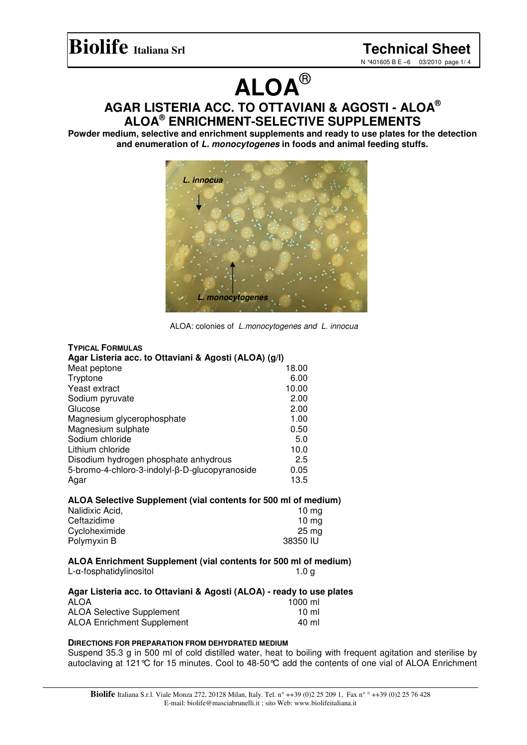## **Biolife Italiana Srl Technical Sheet**

N °401605 B E –6 03/2010 page 1/ 4

# **ALOA** ®

### **AGAR LISTERIA ACC. TO OTTAVIANI & AGOSTI - ALOA ® ALOA ® ENRICHMENT-SELECTIVE SUPPLEMENTS**

**Powder medium, selective and enrichment supplements and ready to use plates for the detection and enumeration of** *L. monocytogenes* **in foods and animal feeding stuffs.**



ALOA: colonies of *L.monocytogenes and L. innocua*

| <b>TYPICAL FORMULAS</b>                               |       |  |
|-------------------------------------------------------|-------|--|
| Agar Listeria acc. to Ottaviani & Agosti (ALOA) (g/l) |       |  |
| Meat peptone                                          | 18.00 |  |
| Tryptone                                              | 6.00  |  |
| Yeast extract                                         | 10.00 |  |
| Sodium pyruvate                                       | 2.00  |  |
| Glucose                                               | 2.00  |  |
| Magnesium glycerophosphate                            | 1.00  |  |
| Magnesium sulphate                                    | 0.50  |  |
| Sodium chloride                                       | 5.0   |  |
| Lithium chloride                                      | 10.0  |  |
| Disodium hydrogen phosphate anhydrous                 | 2.5   |  |
| 5-bromo-4-chloro-3-indolyl-β-D-glucopyranoside        | 0.05  |  |
| Agar                                                  | 13.5  |  |

#### **ALOA Selective Supplement (vial contents for 500 ml of medium)**

| Nalidixic Acid, | 10 ma    |
|-----------------|----------|
| Ceftazidime     | 10 ma    |
| Cycloheximide   | 25 ma    |
| Polymyxin B     | 38350 IU |

#### **ALOA Enrichment Supplement (vial contents for 500 ml of medium)** L-α-fosphatidylinositol international control of the 1.0 g

| Agar Listeria acc. to Ottaviani & Agosti (ALOA) - ready to use plates |         |
|-----------------------------------------------------------------------|---------|
| <b>ALOA</b>                                                           | 1000 ml |
| <b>ALOA Selective Supplement</b>                                      | 10 ml   |
| <b>ALOA Enrichment Supplement</b>                                     | 40 ml   |

#### **DIRECTIONS FOR PREPARATION FROM DEHYDRATED MEDIUM**

Suspend 35.3 g in 500 ml of cold distilled water, heat to boiling with frequent agitation and sterilise by autoclaving at 121°C for 15 minutes. Cool to 48-50°C add the contents of one vial of ALOA Enrichment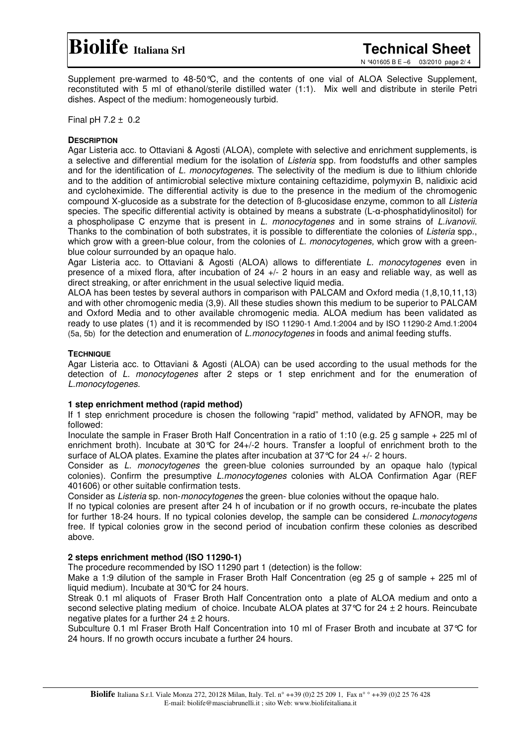### **Biolife Italiana Srl Technical Sheet**

N °401605 B E –6 03/2010 page 2/ 4

Supplement pre-warmed to 48-50°C, and the contents of one vial of ALOA Selective Supplement, reconstituted with 5 ml of ethanol/sterile distilled water (1:1). Mix well and distribute in sterile Petri dishes. Aspect of the medium: homogeneously turbid.

Final pH 7.2 ± 0.2

#### **DESCRIPTION**

Agar Listeria acc. to Ottaviani & Agosti (ALOA), complete with selective and enrichment supplements, is a selective and differential medium for the isolation of *Listeria* spp. from foodstuffs and other samples and for the identification of *L. monocytogenes*. The selectivity of the medium is due to lithium chloride and to the addition of antimicrobial selective mixture containing ceftazidime, polymyxin B, nalidixic acid and cycloheximide. The differential activity is due to the presence in the medium of the chromogenic compound X-glucoside as a substrate for the detection of ß-glucosidase enzyme, common to all *Listeria* species. The specific differential activity is obtained by means a substrate (L-a-phosphatidylinositol) for a phospholipase C enzyme that is present in *L. monocytogenes* and in some strains of *L.ivanovii.* Thanks to the combination of both substrates, it is possible to differentiate the colonies of *Listeria* spp., which grow with a green-blue colour, from the colonies of *L. monocytogenes,* which grow with a greenblue colour surrounded by an opaque halo.

Agar Listeria acc. to Ottaviani & Agosti (ALOA) allows to differentiate *L. monocytogenes* even in presence of a mixed flora, after incubation of 24 +/- 2 hours in an easy and reliable way, as well as direct streaking, or after enrichment in the usual selective liquid media.

ALOA has been testes by several authors in comparison with PALCAM and Oxford media (1,8,10,11,13) and with other chromogenic media (3,9). All these studies shown this medium to be superior to PALCAM and Oxford Media and to other available chromogenic media. ALOA medium has been validated as ready to use plates (1) and it is recommended by ISO 11290-1 Amd.1:2004 and by ISO 11290-2 Amd.1:2004 (5a, 5b) for the detection and enumeration of *L.monocytogenes* in foods and animal feeding stuffs.

#### **TECHNIQUE**

Agar Listeria acc. to Ottaviani & Agosti (ALOA) can be used according to the usual methods for the detection of *L. monocytogenes* after 2 steps or 1 step enrichment and for the enumeration of *L.monocytogenes*.

#### **1 step enrichment method (rapid method)**

If 1 step enrichment procedure is chosen the following "rapid" method, validated by AFNOR, may be followed:

Inoculate the sample in Fraser Broth Half Concentration in a ratio of 1:10 (e.g. 25 g sample + 225 ml of enrichment broth). Incubate at 30°C for 24+/-2 hours. Transfer a loopful of enrichment broth to the surface of ALOA plates. Examine the plates after incubation at 37°C for 24 +/- 2 hours.

Consider as *L. monocytogenes* the green-blue colonies surrounded by an opaque halo (typical colonies). Confirm the presumptive *L.monocytogenes* colonies with ALOA Confirmation Agar (REF 401606) or other suitable confirmation tests.

Consider as *Listeria* sp. non-*monocytogenes* the green- blue colonies without the opaque halo.

If no typical colonies are present after 24 h of incubation or if no growth occurs, re-incubate the plates for further 18-24 hours. If no typical colonies develop, the sample can be considered *L.monocytogens* free. If typical colonies grow in the second period of incubation confirm these colonies as described above.

#### **2 steps enrichment method (ISO 11290-1)**

The procedure recommended by ISO 11290 part 1 (detection) is the follow:

Make a 1:9 dilution of the sample in Fraser Broth Half Concentration (eq 25 q of sample + 225 ml of liquid medium). Incubate at 30°C for 24 hours.

Streak 0.1 ml aliquots of Fraser Broth Half Concentration onto a plate of ALOA medium and onto a second selective plating medium of choice. Incubate ALOA plates at  $37^{\circ}$ C for  $24 \pm 2$  hours. Reincubate negative plates for a further  $24 \pm 2$  hours.

Subculture 0.1 ml Fraser Broth Half Concentration into 10 ml of Fraser Broth and incubate at 37°C for 24 hours. If no growth occurs incubate a further 24 hours.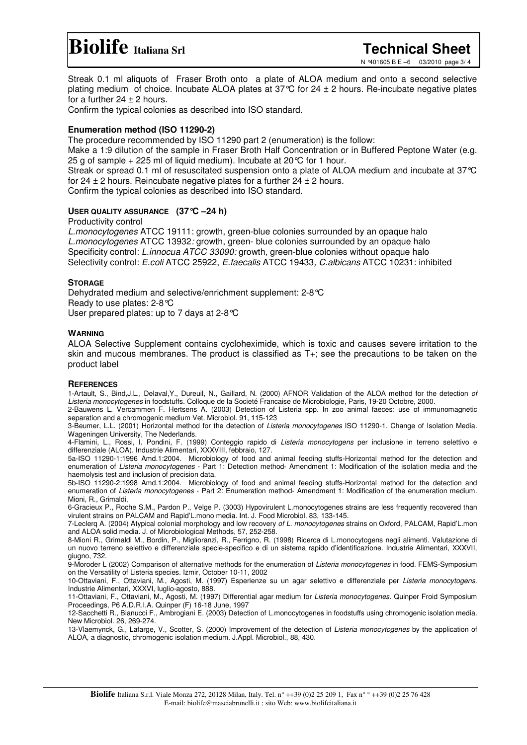### **Biolife Italiana Srl Technical Sheet**

N °401605 B E –6 03/2010 page 3/ 4

Streak 0.1 ml aliquots of Fraser Broth onto a plate of ALOA medium and onto a second selective plating medium of choice. Incubate ALOA plates at  $37^{\circ}$  for  $24 \pm 2$  hours. Re-incubate negative plates for a further  $24 \pm 2$  hours.

Confirm the typical colonies as described into ISO standard.

#### **Enumeration method (ISO 11290-2)**

The procedure recommended by ISO 11290 part 2 (enumeration) is the follow:

Make a 1:9 dilution of the sample in Fraser Broth Half Concentration or in Buffered Peptone Water (e.g. 25 g of sample + 225 ml of liquid medium). Incubate at 20°C for 1 hour.

Streak or spread 0.1 ml of resuscitated suspension onto a plate of ALOA medium and incubate at 37°C for 24  $\pm$  2 hours. Reincubate negative plates for a further 24  $\pm$  2 hours.

Confirm the typical colonies as described into ISO standard.

#### **USER QUALITY ASSURANCE (37°C –24 h)**

Productivity control

*L.monocytogenes* ATCC 19111: growth, green-blue colonies surrounded by an opaque halo *L.monocytogenes* ATCC 13932*:* growth, green- blue colonies surrounded by an opaque halo Specificity control: *L.innocua ATCC 33090:* growth*,* green-blue colonies without opaque halo Selectivity control: *E.coli* ATCC 25922, *E.faecalis* ATCC 19433*, C.albicans* ATCC 10231: inhibited

#### **STORAGE**

Dehydrated medium and selective/enrichment supplement: 2-8°C Ready to use plates: 2-8°C User prepared plates: up to 7 days at 2-8°C

#### **WARNING**

ALOA Selective Supplement contains cycloheximide, which is toxic and causes severe irritation to the skin and mucous membranes. The product is classified as T+; see the precautions to be taken on the product label

#### **REFERENCES**

1-Artault, S., Bind,J.L., Delaval,Y., Dureuil, N., Gaillard, N. (2000) AFNOR Validation of the ALOA method for the detection *of Listeria monocytogenes* in foodstuffs. Colloque de la Societé Francaise de Microbiologie, Paris, 19-20 Octobre, 2000.

2-Bauwens L. Vercammen F. Hertsens A. (2003) Detection of Listeria spp. In zoo animal faeces: use of immunomagnetic separation and a chromogenic medium Vet. Microbiol. 91, 115-123

3-Beumer, L.L. (2001) Horizontal method for the detection of *Listeria monocytogenes* ISO 11290-1. Change of Isolation Media. Wageningen University, The Nederlands.

4-Flamini, L., Rossi, I. Pondini, F. (1999) Conteggio rapido di *Listeria monocytogens* per inclusione in terreno selettivo e differenziale (ALOA). Industrie Alimentari, XXXVIII, febbraio, 127.

5a-ISO 11290-1:1996 Amd.1:2004. Microbiology of food and animal feeding stuffs-Horizontal method for the detection and enumeration of *Listeria monocytogenes* - Part 1: Detection method- Amendment 1: Modification of the isolation media and the haemolysis test and inclusion of precision data.

5b-ISO 11290-2:1998 Amd.1:2004. Microbiology of food and animal feeding stuffs-Horizontal method for the detection and enumeration of *Listeria monocytogenes* - Part 2: Enumeration method- Amendment 1: Modification of the enumeration medium. Mioni, R., Grimaldi,

6-Gracieux P., Roche S.M., Pardon P., Velge P. (3003) Hypovirulent L.monocytogenes strains are less frequently recovered than virulent strains on PALCAM and Rapid'L.mono media. Int. J. Food Microbiol. 83, 133-145.

7-Leclerq A. (2004) Atypical colonial morphology and low recovery *of L. monocytogenes* strains on Oxford, PALCAM, Rapid'L.mon and ALOA solid media. J. of Microbiological Methods, 57, 252-258.

8-Mioni R., Grimaldi M., Bordin, P., Miglioranzi, R., Ferrigno, R. (1998) Ricerca di L.monocytogens negli alimenti. Valutazione di un nuovo terreno selettivo e differenziale specie-specifico e di un sistema rapido d'identificazione. Industrie Alimentari, XXXVII, giugno, 732.

9-Moroder L (2002) Comparison of alternative methods for the enumeration of *Listeria monocytogenes* in food. FEMS-Symposium on the Versatility of Listeria species. Izmir, October 10-11, 2002

10-Ottaviani, F., Ottaviani, M., Agosti, M. (1997) Esperienze su un agar selettivo e differenziale per *Listeria monocytogens*. Industrie Alimentari, XXXVI, luglio-agosto, 888.

11-Ottaviani, F., Ottaviani, M., Agosti, M. (1997) Differential agar medium for *Listeria monocytogenes*. Quinper Froid Symposium Proceedings, P6 A.D.R.I.A. Quinper (F) 16-18 June, 1997

12-Sacchetti R., Bianucci F., Ambrogiani E. (2003) Detection of L.monocytogenes in foodstuffs using chromogenic isolation media. New Microbiol. 26, 269-274.

13-Vlaemynck, G., Lafarge, V., Scotter, S. (2000) Improvement of the detection of *Listeria monocytogenes* by the application of ALOA, a diagnostic, chromogenic isolation medium. J.Appl. Microbiol., 88, 430.